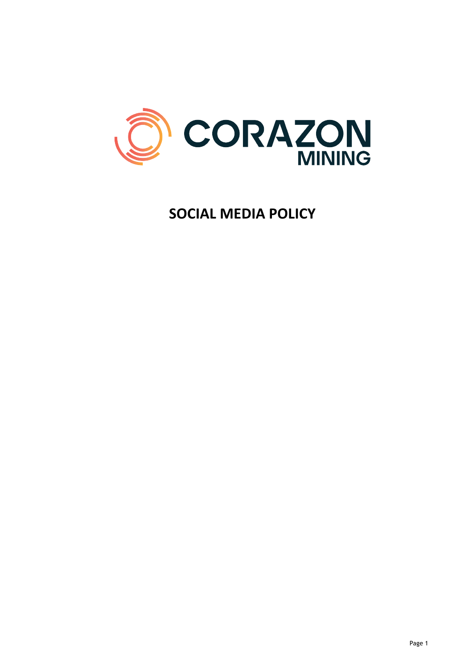

# **SOCIAL MEDIA POLICY**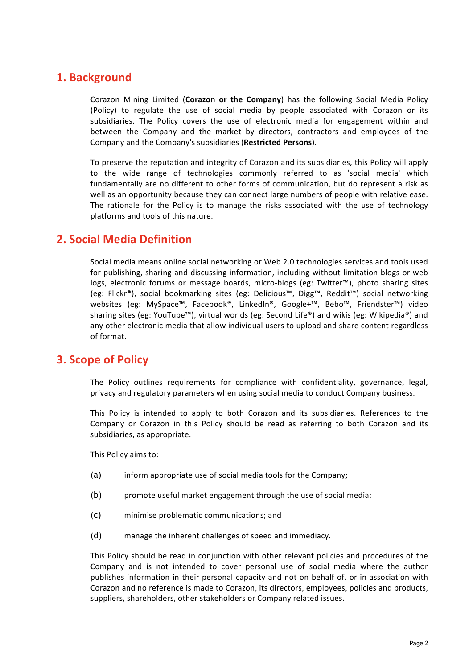### **1. Background**

Corazon Mining Limited (Corazon or the Company) has the following Social Media Policy (Policy) to regulate the use of social media by people associated with Corazon or its subsidiaries. The Policy covers the use of electronic media for engagement within and between the Company and the market by directors, contractors and employees of the Company and the Company's subsidiaries (Restricted Persons).

To preserve the reputation and integrity of Corazon and its subsidiaries, this Policy will apply to the wide range of technologies commonly referred to as 'social media' which fundamentally are no different to other forms of communication, but do represent a risk as well as an opportunity because they can connect large numbers of people with relative ease. The rationale for the Policy is to manage the risks associated with the use of technology platforms and tools of this nature.

### **2. Social Media Definition**

Social media means online social networking or Web 2.0 technologies services and tools used for publishing, sharing and discussing information, including without limitation blogs or web logs, electronic forums or message boards, micro-blogs (eg: Twitter™), photo sharing sites (eg: Flickr®), social bookmarking sites (eg: Delicious™, Digg™, Reddit™) social networking websites (eg: MySpace™, Facebook®, LinkedIn®, Google+™, Bebo™, Friendster™) video sharing sites (eg: YouTube™), virtual worlds (eg: Second Life®) and wikis (eg: Wikipedia®) and any other electronic media that allow individual users to upload and share content regardless of format.

### **3. Scope of Policy**

The Policy outlines requirements for compliance with confidentiality, governance, legal, privacy and regulatory parameters when using social media to conduct Company business.

This Policy is intended to apply to both Corazon and its subsidiaries. References to the Company or Corazon in this Policy should be read as referring to both Corazon and its subsidiaries, as appropriate.

This Policy aims to:

- (a) inform appropriate use of social media tools for the Company;
- (b) promote useful market engagement through the use of social media;
- (c) minimise problematic communications; and
- (d) manage the inherent challenges of speed and immediacy.

This Policy should be read in conjunction with other relevant policies and procedures of the Company and is not intended to cover personal use of social media where the author publishes information in their personal capacity and not on behalf of, or in association with Corazon and no reference is made to Corazon, its directors, employees, policies and products, suppliers, shareholders, other stakeholders or Company related issues.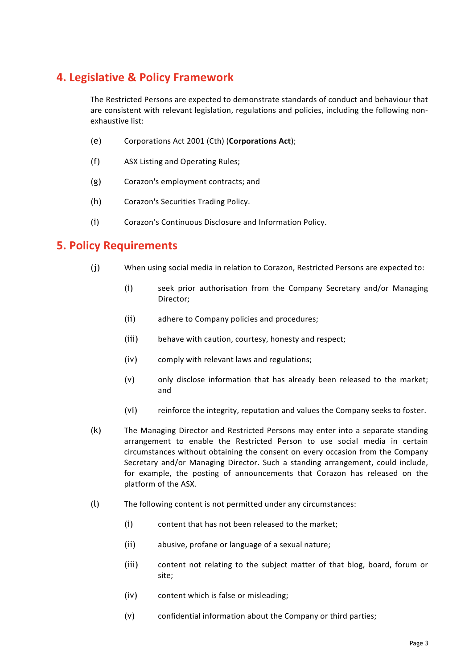## **4. Legislative & Policy Framework**

The Restricted Persons are expected to demonstrate standards of conduct and behaviour that are consistent with relevant legislation, regulations and policies, including the following nonexhaustive list:

- (e) Corporations Act 2001 (Cth) (**Corporations Act**);
- (f) ASX Listing and Operating Rules;
- (g) Corazon's employment contracts; and
- (h) Corazon's Securities Trading Policy.
- (i) Corazon's Continuous Disclosure and Information Policy.

#### **5. Policy Requirements**

- (i) When using social media in relation to Corazon, Restricted Persons are expected to:
	- (i) seek prior authorisation from the Company Secretary and/or Managing Director;
	- (ii) adhere to Company policies and procedures;
	- (iii) behave with caution, courtesy, honesty and respect;
	- (iv) comply with relevant laws and regulations;
	- $(v)$  only disclose information that has already been released to the market; and
	- (vi) reinforce the integrity, reputation and values the Company seeks to foster.
- (k) The Managing Director and Restricted Persons may enter into a separate standing arrangement to enable the Restricted Person to use social media in certain circumstances without obtaining the consent on every occasion from the Company Secretary and/or Managing Director. Such a standing arrangement, could include, for example, the posting of announcements that Corazon has released on the platform of the ASX.
- $(l)$  The following content is not permitted under any circumstances:
	- (i) content that has not been released to the market;
	- (ii) abusive, profane or language of a sexual nature;
	- (iii) content not relating to the subject matter of that blog, board, forum or site;
	- (iv) content which is false or misleading;
	- $(v)$  confidential information about the Company or third parties;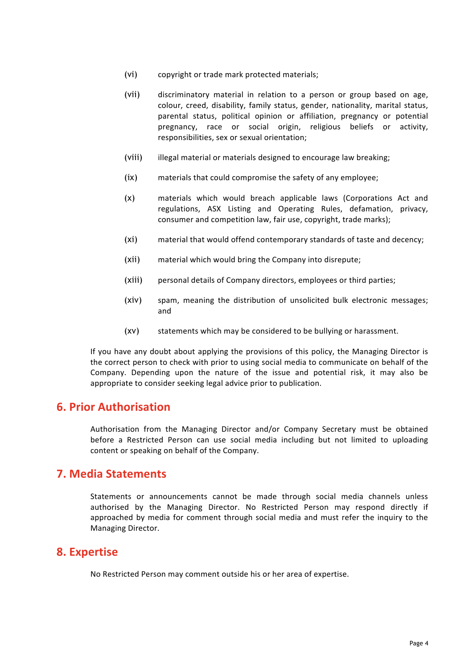- (vi) copyright or trade mark protected materials;
- (vii) discriminatory material in relation to a person or group based on age, colour, creed, disability, family status, gender, nationality, marital status, parental status, political opinion or affiliation, pregnancy or potential pregnancy, race or social origin, religious beliefs or activity, responsibilities, sex or sexual orientation;
- (viii) illegal material or materials designed to encourage law breaking;
- (ix) materials that could compromise the safety of any employee;
- (x) materials which would breach applicable laws (Corporations Act and regulations, ASX Listing and Operating Rules, defamation, privacy, consumer and competition law, fair use, copyright, trade marks);
- (xi) material that would offend contemporary standards of taste and decency;
- (xii) material which would bring the Company into disrepute;
- (xiii) personal details of Company directors, employees or third parties;
- (xiv) spam, meaning the distribution of unsolicited bulk electronic messages; and
- (xv) statements which may be considered to be bullying or harassment.

If you have any doubt about applying the provisions of this policy, the Managing Director is the correct person to check with prior to using social media to communicate on behalf of the Company. Depending upon the nature of the issue and potential risk, it may also be appropriate to consider seeking legal advice prior to publication.

#### **6. Prior Authorisation**

Authorisation from the Managing Director and/or Company Secretary must be obtained before a Restricted Person can use social media including but not limited to uploading content or speaking on behalf of the Company.

#### **7. Media Statements**

Statements or announcements cannot be made through social media channels unless authorised by the Managing Director. No Restricted Person may respond directly if approached by media for comment through social media and must refer the inquiry to the Managing Director.

#### **8. Expertise**

No Restricted Person may comment outside his or her area of expertise.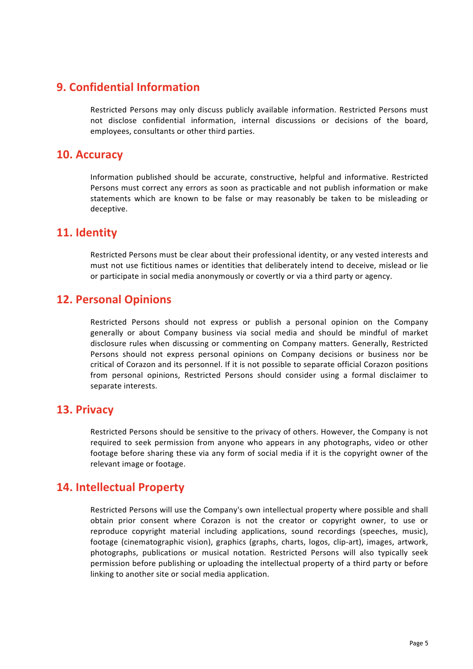### **9. Confidential Information**

Restricted Persons may only discuss publicly available information. Restricted Persons must not disclose confidential information, internal discussions or decisions of the board, employees, consultants or other third parties.

#### **10. Accuracy**

Information published should be accurate, constructive, helpful and informative. Restricted Persons must correct any errors as soon as practicable and not publish information or make statements which are known to be false or may reasonably be taken to be misleading or deceptive.

#### **11. Identity**

Restricted Persons must be clear about their professional identity, or any vested interests and must not use fictitious names or identities that deliberately intend to deceive, mislead or lie or participate in social media anonymously or covertly or via a third party or agency.

### **12. Personal Opinions**

Restricted Persons should not express or publish a personal opinion on the Company generally or about Company business via social media and should be mindful of market disclosure rules when discussing or commenting on Company matters. Generally, Restricted Persons should not express personal opinions on Company decisions or business nor be critical of Corazon and its personnel. If it is not possible to separate official Corazon positions from personal opinions, Restricted Persons should consider using a formal disclaimer to separate interests.

#### **13. Privacy**

Restricted Persons should be sensitive to the privacy of others. However, the Company is not required to seek permission from anyone who appears in any photographs, video or other footage before sharing these via any form of social media if it is the copyright owner of the relevant image or footage.

#### **14. Intellectual Property**

Restricted Persons will use the Company's own intellectual property where possible and shall obtain prior consent where Corazon is not the creator or copyright owner, to use or reproduce copyright material including applications, sound recordings (speeches, music), footage (cinematographic vision), graphics (graphs, charts, logos, clip-art), images, artwork, photographs, publications or musical notation. Restricted Persons will also typically seek permission before publishing or uploading the intellectual property of a third party or before linking to another site or social media application.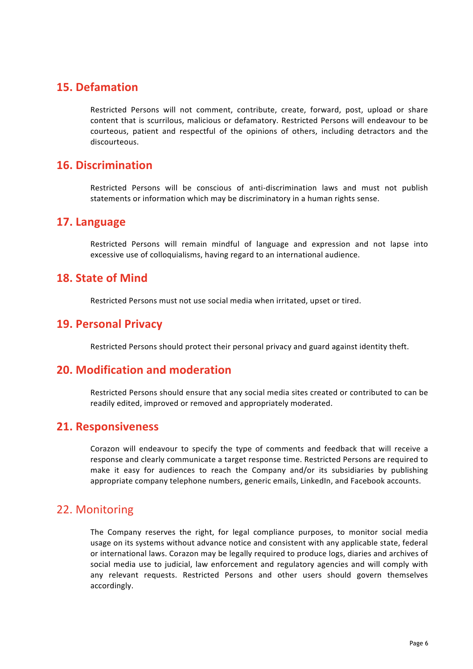### **15. Defamation**

Restricted Persons will not comment, contribute, create, forward, post, upload or share content that is scurrilous, malicious or defamatory. Restricted Persons will endeavour to be courteous, patient and respectful of the opinions of others, including detractors and the discourteous.

#### **16. Discrimination**

Restricted Persons will be conscious of anti-discrimination laws and must not publish statements or information which may be discriminatory in a human rights sense.

#### **17. Language**

Restricted Persons will remain mindful of language and expression and not lapse into excessive use of colloquialisms, having regard to an international audience.

#### **18. State of Mind**

Restricted Persons must not use social media when irritated, upset or tired.

#### **19. Personal Privacy**

Restricted Persons should protect their personal privacy and guard against identity theft.

#### **20. Modification and moderation**

Restricted Persons should ensure that any social media sites created or contributed to can be readily edited, improved or removed and appropriately moderated.

#### **21. Responsiveness**

Corazon will endeavour to specify the type of comments and feedback that will receive a response and clearly communicate a target response time. Restricted Persons are required to make it easy for audiences to reach the Company and/or its subsidiaries by publishing appropriate company telephone numbers, generic emails, LinkedIn, and Facebook accounts.

#### 22. Monitoring

The Company reserves the right, for legal compliance purposes, to monitor social media usage on its systems without advance notice and consistent with any applicable state, federal or international laws. Corazon may be legally required to produce logs, diaries and archives of social media use to judicial, law enforcement and regulatory agencies and will comply with any relevant requests. Restricted Persons and other users should govern themselves accordingly.